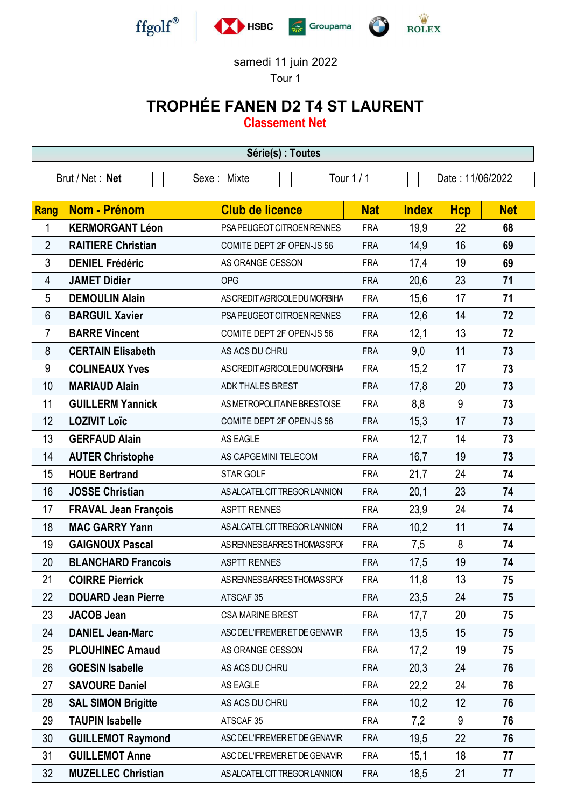

samedi 11 juin 2022 Tour 1

## TROPHÉE FANEN D2 T4 ST LAURENT

Classement Net

| Série(s) : Toutes |                             |                                |            |                  |            |            |  |
|-------------------|-----------------------------|--------------------------------|------------|------------------|------------|------------|--|
|                   | Brut / Net: Net             | Tour 1/1<br>Sexe: Mixte        |            | Date: 11/06/2022 |            |            |  |
|                   |                             |                                |            |                  |            |            |  |
| Rang              | <b>Nom - Prénom</b>         | <b>Club de licence</b>         | <b>Nat</b> | <b>Index</b>     | <b>Hcp</b> | <b>Net</b> |  |
| 1                 | <b>KERMORGANT Léon</b>      | PSA PEUGEOT CITROEN RENNES     | <b>FRA</b> | 19,9             | 22         | 68         |  |
| $\overline{2}$    | <b>RAITIERE Christian</b>   | COMITE DEPT 2F OPEN-JS 56      | <b>FRA</b> | 14,9             | 16         | 69         |  |
| 3                 | <b>DENIEL Frédéric</b>      | AS ORANGE CESSON               | <b>FRA</b> | 17,4             | 19         | 69         |  |
| 4                 | <b>JAMET Didier</b>         | <b>OPG</b>                     | <b>FRA</b> | 20,6             | 23         | 71         |  |
| 5                 | <b>DEMOULIN Alain</b>       | AS CREDIT AGRICOLE DU MORBIHA  | <b>FRA</b> | 15,6             | 17         | 71         |  |
| 6                 | <b>BARGUIL Xavier</b>       | PSA PEUGEOT CITROEN RENNES     | <b>FRA</b> | 12,6             | 14         | 72         |  |
| 7                 | <b>BARRE Vincent</b>        | COMITE DEPT 2F OPEN-JS 56      | <b>FRA</b> | 12,1             | 13         | 72         |  |
| 8                 | <b>CERTAIN Elisabeth</b>    | AS ACS DU CHRU                 | <b>FRA</b> | 9,0              | 11         | 73         |  |
| 9                 | <b>COLINEAUX Yves</b>       | AS CREDIT AGRICOLE DU MORBIHA  | <b>FRA</b> | 15,2             | 17         | 73         |  |
| 10                | <b>MARIAUD Alain</b>        | ADK THALES BREST               | <b>FRA</b> | 17,8             | 20         | 73         |  |
| 11                | <b>GUILLERM Yannick</b>     | AS METROPOLITAINE BRESTOISE    | <b>FRA</b> | 8,8              | 9          | 73         |  |
| 12                | <b>LOZIVIT Loïc</b>         | COMITE DEPT 2F OPEN-JS 56      | <b>FRA</b> | 15,3             | 17         | 73         |  |
| 13                | <b>GERFAUD Alain</b>        | AS EAGLE                       | <b>FRA</b> | 12,7             | 14         | 73         |  |
| 14                | <b>AUTER Christophe</b>     | AS CAPGEMINI TELECOM           | <b>FRA</b> | 16,7             | 19         | 73         |  |
| 15                | <b>HOUE Bertrand</b>        | STAR GOLF                      | <b>FRA</b> | 21,7             | 24         | 74         |  |
| 16                | <b>JOSSE Christian</b>      | AS ALCATEL CIT TREGOR LANNION  | <b>FRA</b> | 20,1             | 23         | 74         |  |
| 17                | <b>FRAVAL Jean François</b> | <b>ASPTT RENNES</b>            | <b>FRA</b> | 23,9             | 24         | 74         |  |
| 18                | <b>MAC GARRY Yann</b>       | AS ALCATEL CIT TREGOR LANNION  | <b>FRA</b> | 10,2             | 11         | 74         |  |
| 19                | <b>GAIGNOUX Pascal</b>      | AS RENNES BARRES THOMAS SPOI   | <b>FRA</b> | 7,5              | 8          | 74         |  |
| 20                | <b>BLANCHARD Francois</b>   | <b>ASPTT RENNES</b>            | <b>FRA</b> | 17,5             | 19         | 74         |  |
| 21                | <b>COIRRE Pierrick</b>      | AS RENNES BARRES THOMAS SPOI   | <b>FRA</b> | 11,8             | 13         | 75         |  |
| 22                | <b>DOUARD Jean Pierre</b>   | ATSCAF 35                      | <b>FRA</b> | 23,5             | 24         | 75         |  |
| 23                | <b>JACOB Jean</b>           | <b>CSA MARINE BREST</b>        | <b>FRA</b> | 17,7             | 20         | 75         |  |
| 24                | <b>DANIEL Jean-Marc</b>     | ASC DE L'IFREMER ET DE GENAVIR | <b>FRA</b> | 13,5             | 15         | 75         |  |
| 25                | <b>PLOUHINEC Arnaud</b>     | AS ORANGE CESSON               | <b>FRA</b> | 17,2             | 19         | 75         |  |
| 26                | <b>GOESIN Isabelle</b>      | AS ACS DU CHRU                 | <b>FRA</b> | 20,3             | 24         | 76         |  |
| 27                | <b>SAVOURE Daniel</b>       | AS EAGLE                       | <b>FRA</b> | 22,2             | 24         | 76         |  |
| 28                | <b>SAL SIMON Brigitte</b>   | AS ACS DU CHRU                 | <b>FRA</b> | 10,2             | 12         | 76         |  |
| 29                | <b>TAUPIN Isabelle</b>      | ATSCAF 35                      | <b>FRA</b> | 7,2              | 9          | 76         |  |
| 30                | <b>GUILLEMOT Raymond</b>    | ASC DE L'IFREMER ET DE GENAVIR | <b>FRA</b> | 19,5             | 22         | 76         |  |
| 31                | <b>GUILLEMOT Anne</b>       | ASC DE L'IFREMER ET DE GENAVIR | <b>FRA</b> | 15,1             | 18         | 77         |  |
| 32                | <b>MUZELLEC Christian</b>   | AS ALCATEL CIT TREGOR LANNION  | <b>FRA</b> | 18,5             | 21         | 77         |  |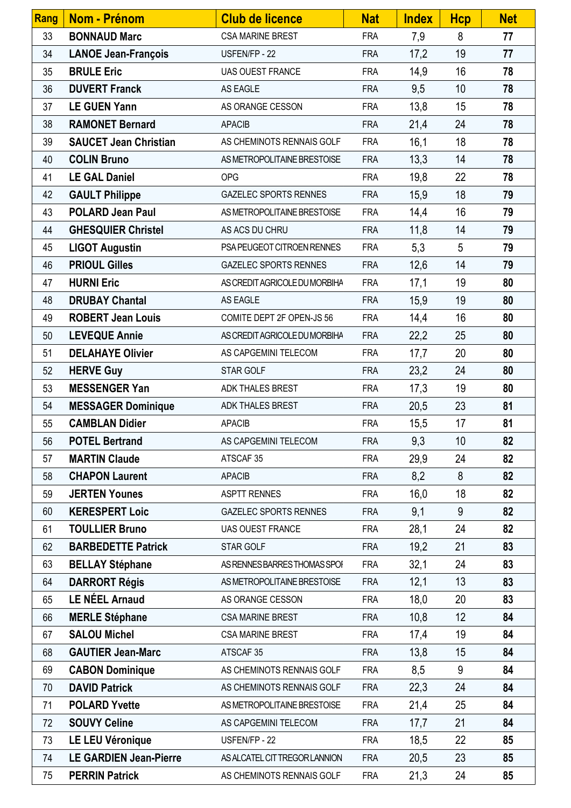| Rang | Nom - Prénom                  | <b>Club de licence</b>        | <b>Nat</b> | <b>Index</b> | <b>Hcp</b>      | <b>Net</b> |
|------|-------------------------------|-------------------------------|------------|--------------|-----------------|------------|
| 33   | <b>BONNAUD Marc</b>           | <b>CSA MARINE BREST</b>       | <b>FRA</b> | 7,9          | 8               | 77         |
| 34   | <b>LANOE Jean-François</b>    | USFEN/FP - 22                 | <b>FRA</b> | 17,2         | 19              | 77         |
| 35   | <b>BRULE Eric</b>             | <b>UAS OUEST FRANCE</b>       | <b>FRA</b> | 14,9         | 16              | 78         |
| 36   | <b>DUVERT Franck</b>          | AS EAGLE                      | <b>FRA</b> | 9,5          | 10 <sup>1</sup> | 78         |
| 37   | <b>LE GUEN Yann</b>           | AS ORANGE CESSON              | <b>FRA</b> | 13,8         | 15              | 78         |
| 38   | <b>RAMONET Bernard</b>        | <b>APACIB</b>                 | <b>FRA</b> | 21,4         | 24              | 78         |
| 39   | <b>SAUCET Jean Christian</b>  | AS CHEMINOTS RENNAIS GOLF     | <b>FRA</b> | 16,1         | 18              | 78         |
| 40   | <b>COLIN Bruno</b>            | AS METROPOLITAINE BRESTOISE   | <b>FRA</b> | 13,3         | 14              | 78         |
| 41   | <b>LE GAL Daniel</b>          | <b>OPG</b>                    | <b>FRA</b> | 19,8         | 22              | 78         |
| 42   | <b>GAULT Philippe</b>         | <b>GAZELEC SPORTS RENNES</b>  | <b>FRA</b> | 15,9         | 18              | 79         |
| 43   | <b>POLARD Jean Paul</b>       | AS METROPOLITAINE BRESTOISE   | <b>FRA</b> | 14,4         | 16              | 79         |
| 44   | <b>GHESQUIER Christel</b>     | AS ACS DU CHRU                | <b>FRA</b> | 11,8         | 14              | 79         |
| 45   | <b>LIGOT Augustin</b>         | PSA PEUGEOT CITROEN RENNES    | <b>FRA</b> | 5,3          | 5               | 79         |
| 46   | <b>PRIOUL Gilles</b>          | <b>GAZELEC SPORTS RENNES</b>  | <b>FRA</b> | 12,6         | 14              | 79         |
| 47   | <b>HURNI Eric</b>             | AS CREDIT AGRICOLE DU MORBIHA | <b>FRA</b> | 17,1         | 19              | 80         |
| 48   | <b>DRUBAY Chantal</b>         | AS EAGLE                      | <b>FRA</b> | 15,9         | 19              | 80         |
| 49   | <b>ROBERT Jean Louis</b>      | COMITE DEPT 2F OPEN-JS 56     | <b>FRA</b> | 14,4         | 16              | 80         |
| 50   | <b>LEVEQUE Annie</b>          | AS CREDIT AGRICOLE DU MORBIHA | <b>FRA</b> | 22,2         | 25              | 80         |
| 51   | <b>DELAHAYE Olivier</b>       | AS CAPGEMINI TELECOM          | <b>FRA</b> | 17,7         | 20              | 80         |
| 52   | <b>HERVE Guy</b>              | STAR GOLF                     | <b>FRA</b> | 23,2         | 24              | 80         |
| 53   | <b>MESSENGER Yan</b>          | ADK THALES BREST              | <b>FRA</b> | 17,3         | 19              | 80         |
| 54   | <b>MESSAGER Dominique</b>     | ADK THALES BREST              | <b>FRA</b> | 20,5         | 23              | 81         |
| 55   | <b>CAMBLAN Didier</b>         | <b>APACIB</b>                 | <b>FRA</b> | 15,5         | 17              | 81         |
| 56   | <b>POTEL Bertrand</b>         | AS CAPGEMINI TELECOM          | <b>FRA</b> | 9,3          | 10              | 82         |
| 57   | <b>MARTIN Claude</b>          | ATSCAF 35                     | <b>FRA</b> | 29,9         | 24              | 82         |
| 58   | <b>CHAPON Laurent</b>         | <b>APACIB</b>                 | <b>FRA</b> | 8,2          | 8               | 82         |
| 59   | <b>JERTEN Younes</b>          | <b>ASPTT RENNES</b>           | <b>FRA</b> | 16,0         | 18              | 82         |
| 60   | <b>KERESPERT Loic</b>         | <b>GAZELEC SPORTS RENNES</b>  | <b>FRA</b> | 9,1          | 9               | 82         |
| 61   | <b>TOULLIER Bruno</b>         | <b>UAS OUEST FRANCE</b>       | <b>FRA</b> | 28,1         | 24              | 82         |
| 62   | <b>BARBEDETTE Patrick</b>     | STAR GOLF                     | <b>FRA</b> | 19,2         | 21              | 83         |
| 63   | <b>BELLAY Stéphane</b>        | AS RENNES BARRES THOMAS SPOI  | <b>FRA</b> | 32,1         | 24              | 83         |
| 64   | <b>DARRORT Régis</b>          | AS METROPOLITAINE BRESTOISE   | <b>FRA</b> | 12,1         | 13              | 83         |
| 65   | <b>LE NÉEL Arnaud</b>         | AS ORANGE CESSON              | <b>FRA</b> | 18,0         | 20              | 83         |
| 66   | <b>MERLE Stéphane</b>         | <b>CSA MARINE BREST</b>       | <b>FRA</b> | 10,8         | 12              | 84         |
| 67   | <b>SALOU Michel</b>           | <b>CSA MARINE BREST</b>       | <b>FRA</b> | 17,4         | 19              | 84         |
| 68   | <b>GAUTIER Jean-Marc</b>      | ATSCAF 35                     | <b>FRA</b> | 13,8         | 15              | 84         |
| 69   | <b>CABON Dominique</b>        | AS CHEMINOTS RENNAIS GOLF     | <b>FRA</b> | 8,5          | 9               | 84         |
| 70   | <b>DAVID Patrick</b>          | AS CHEMINOTS RENNAIS GOLF     | <b>FRA</b> | 22,3         | 24              | 84         |
| 71   | <b>POLARD Yvette</b>          | AS METROPOLITAINE BRESTOISE   | <b>FRA</b> | 21,4         | 25              | 84         |
| 72   | <b>SOUVY Celine</b>           | AS CAPGEMINI TELECOM          | <b>FRA</b> | 17,7         | 21              | 84         |
| 73   | <b>LE LEU Véronique</b>       | USFEN/FP - 22                 | <b>FRA</b> | 18,5         | 22              | 85         |
| 74   | <b>LE GARDIEN Jean-Pierre</b> | AS ALCATEL CIT TREGOR LANNION | <b>FRA</b> | 20,5         | 23              | 85         |
| 75   | <b>PERRIN Patrick</b>         | AS CHEMINOTS RENNAIS GOLF     | <b>FRA</b> | 21,3         | 24              | 85         |